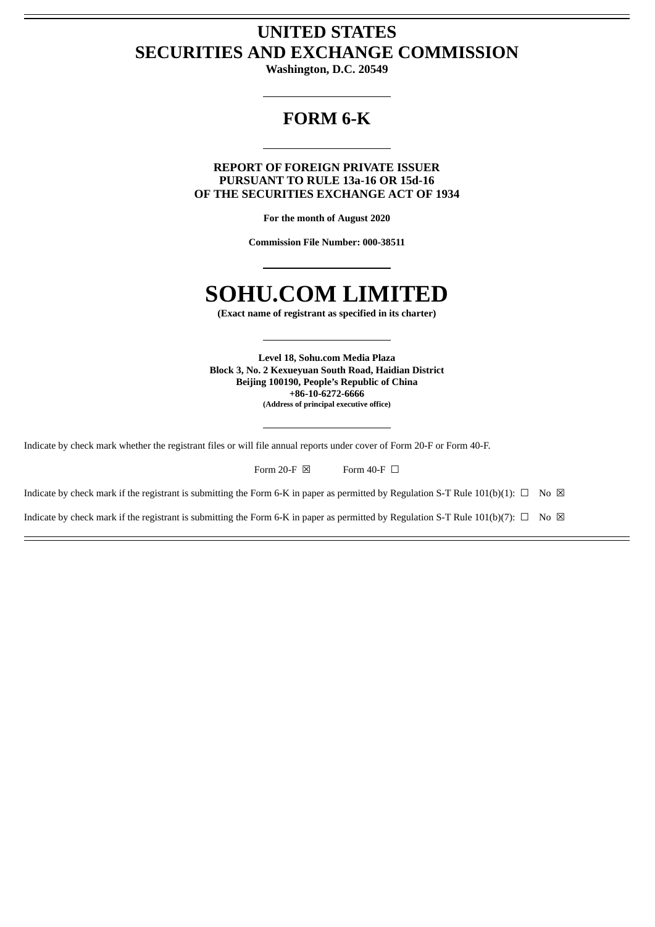# **UNITED STATES SECURITIES AND EXCHANGE COMMISSION**

**Washington, D.C. 20549**

# **FORM 6-K**

**REPORT OF FOREIGN PRIVATE ISSUER PURSUANT TO RULE 13a-16 OR 15d-16 OF THE SECURITIES EXCHANGE ACT OF 1934**

**For the month of August 2020**

**Commission File Number: 000-38511**

# **SOHU.COM LIMITED**

**(Exact name of registrant as specified in its charter)**

**Level 18, Sohu.com Media Plaza Block 3, No. 2 Kexueyuan South Road, Haidian District Beijing 100190, People's Republic of China +86-10-6272-6666 (Address of principal executive office)**

Indicate by check mark whether the registrant files or will file annual reports under cover of Form 20-F or Form 40-F.

| Form 20-F $\boxtimes$ | Form 40-F $\Box$ |
|-----------------------|------------------|
|-----------------------|------------------|

Indicate by check mark if the registrant is submitting the Form 6-K in paper as permitted by Regulation S-T Rule 101(b)(1):  $\Box$  No  $\boxtimes$ 

Indicate by check mark if the registrant is submitting the Form 6-K in paper as permitted by Regulation S-T Rule 101(b)(7):  $\Box$  No  $\boxtimes$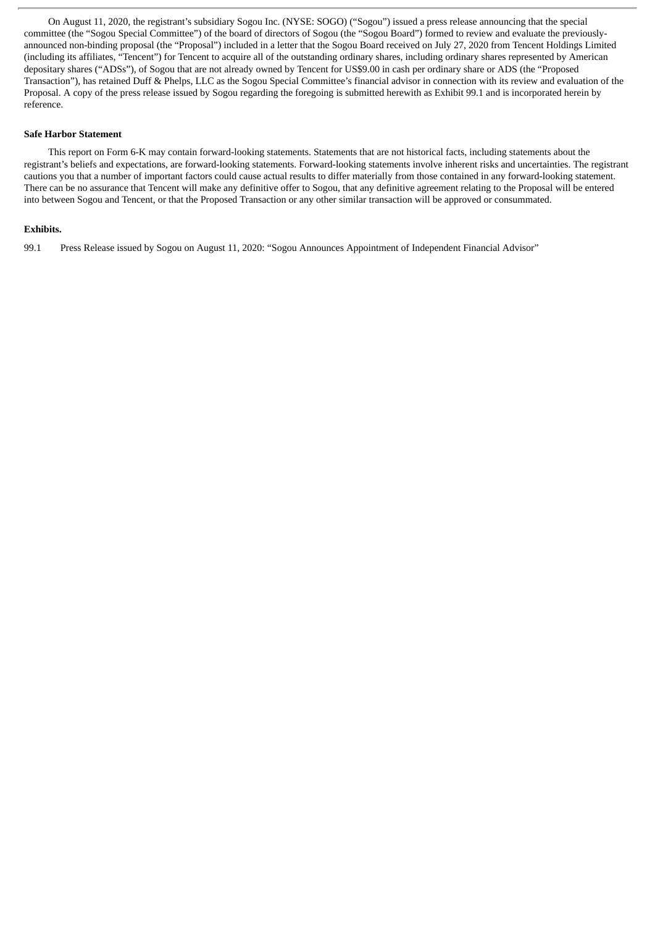On August 11, 2020, the registrant's subsidiary Sogou Inc. (NYSE: SOGO) ("Sogou") issued a press release announcing that the special committee (the "Sogou Special Committee") of the board of directors of Sogou (the "Sogou Board") formed to review and evaluate the previouslyannounced non-binding proposal (the "Proposal") included in a letter that the Sogou Board received on July 27, 2020 from Tencent Holdings Limited (including its affiliates, "Tencent") for Tencent to acquire all of the outstanding ordinary shares, including ordinary shares represented by American depositary shares ("ADSs"), of Sogou that are not already owned by Tencent for US\$9.00 in cash per ordinary share or ADS (the "Proposed Transaction"), has retained Duff & Phelps, LLC as the Sogou Special Committee's financial advisor in connection with its review and evaluation of the Proposal. A copy of the press release issued by Sogou regarding the foregoing is submitted herewith as Exhibit 99.1 and is incorporated herein by reference.

#### **Safe Harbor Statement**

This report on Form 6-K may contain forward-looking statements. Statements that are not historical facts, including statements about the registrant's beliefs and expectations, are forward-looking statements. Forward-looking statements involve inherent risks and uncertainties. The registrant cautions you that a number of important factors could cause actual results to differ materially from those contained in any forward-looking statement. There can be no assurance that Tencent will make any definitive offer to Sogou, that any definitive agreement relating to the Proposal will be entered into between Sogou and Tencent, or that the Proposed Transaction or any other similar transaction will be approved or consummated.

# **Exhibits.**

99.1 Press Release issued by Sogou on August 11, 2020: "Sogou Announces Appointment of Independent Financial Advisor"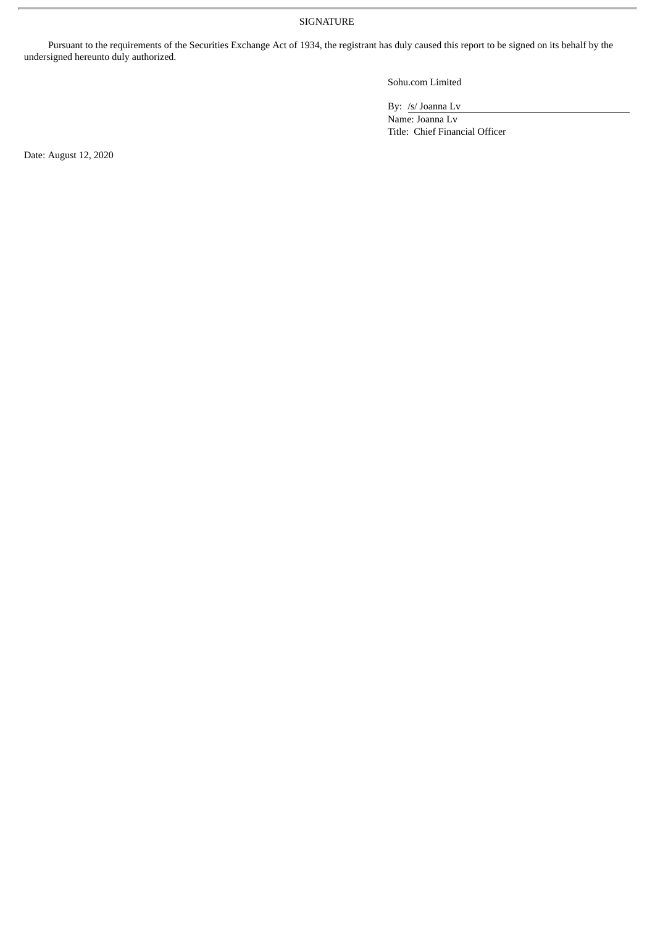SIGNATURE

Pursuant to the requirements of the Securities Exchange Act of 1934, the registrant has duly caused this report to be signed on its behalf by the undersigned hereunto duly authorized.

Sohu.com Limited

By: /s/ Joanna Lv

Name: Joanna Lv Title: Chief Financial Officer

Date: August 12, 2020